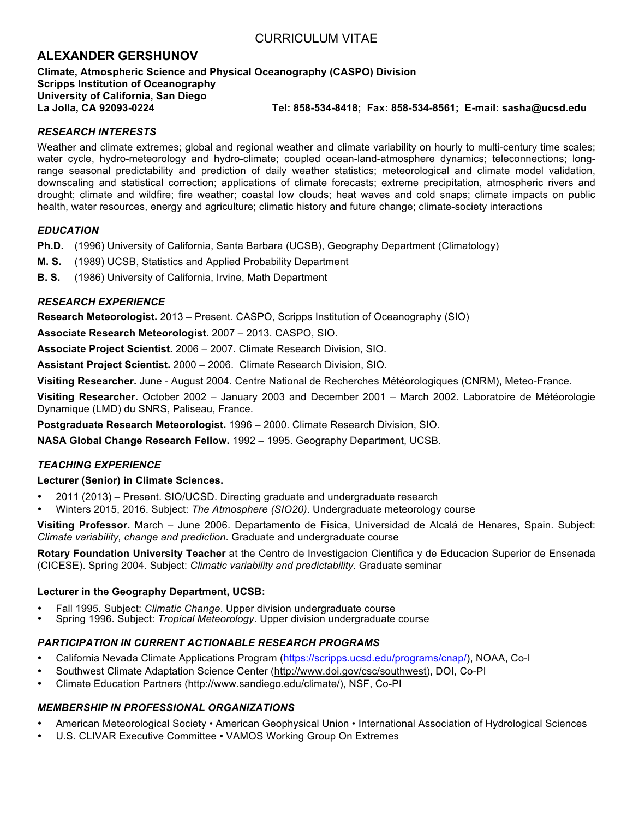# **ALEXANDER GERSHUNOV**

## **Climate, Atmospheric Science and Physical Oceanography (CASPO) Division Scripps Institution of Oceanography University of California, San Diego La Jolla, CA 92093-0224 Tel: 858-534-8418; Fax: 858-534-8561; E-mail: sasha@ucsd.edu**

# *RESEARCH INTERESTS*

Weather and climate extremes; global and regional weather and climate variability on hourly to multi-century time scales; water cycle, hydro-meteorology and hydro-climate; coupled ocean-land-atmosphere dynamics; teleconnections; longrange seasonal predictability and prediction of daily weather statistics; meteorological and climate model validation, downscaling and statistical correction; applications of climate forecasts; extreme precipitation, atmospheric rivers and drought; climate and wildfire; fire weather; coastal low clouds; heat waves and cold snaps; climate impacts on public health, water resources, energy and agriculture; climatic history and future change; climate-society interactions

# *EDUCATION*

**Ph.D.** (1996) University of California, Santa Barbara (UCSB), Geography Department (Climatology)

- **M. S.** (1989) UCSB, Statistics and Applied Probability Department
- **B. S.** (1986) University of California, Irvine, Math Department

# *RESEARCH EXPERIENCE*

**Research Meteorologist.** 2013 – Present. CASPO, Scripps Institution of Oceanography (SIO)

**Associate Research Meteorologist.** 2007 – 2013. CASPO, SIO.

**Associate Project Scientist.** 2006 – 2007. Climate Research Division, SIO.

**Assistant Project Scientist.** 2000 – 2006. Climate Research Division, SIO.

**Visiting Researcher.** June - August 2004. Centre National de Recherches Météorologiques (CNRM), Meteo-France.

**Visiting Researcher.** October 2002 – January 2003 and December 2001 – March 2002. Laboratoire de Météorologie Dynamique (LMD) du SNRS, Paliseau, France.

**Postgraduate Research Meteorologist.** 1996 – 2000. Climate Research Division, SIO.

**NASA Global Change Research Fellow.** 1992 – 1995. Geography Department, UCSB.

# *TEACHING EXPERIENCE*

# **Lecturer (Senior) in Climate Sciences.**

- 2011 (2013) Present. SIO/UCSD. Directing graduate and undergraduate research
- Winters 2015, 2016. Subject: *The Atmosphere (SIO20)*. Undergraduate meteorology course

**Visiting Professor.** March – June 2006. Departamento de Fisica, Universidad de Alcalá de Henares, Spain. Subject: *Climate variability, change and prediction*. Graduate and undergraduate course

**Rotary Foundation University Teacher** at the Centro de Investigacion Cientifica y de Educacion Superior de Ensenada (CICESE). Spring 2004. Subject: *Climatic variability and predictability*. Graduate seminar

### **Lecturer in the Geography Department, UCSB:**

- Fall 1995. Subject: *Climatic Change*. Upper division undergraduate course
- Spring 1996. Subject: *Tropical Meteorology*. Upper division undergraduate course

# *PARTICIPATION IN CURRENT ACTIONABLE RESEARCH PROGRAMS*

- California Nevada Climate Applications Program (https://scripps.ucsd.edu/programs/cnap/), NOAA, Co-I
- Southwest Climate Adaptation Science Center (http://www.doi.gov/csc/southwest), DOI, Co-PI
- Climate Education Partners (http://www.sandiego.edu/climate/), NSF, Co-PI

# *MEMBERSHIP IN PROFESSIONAL ORGANIZATIONS*

- American Meteorological Society American Geophysical Union International Association of Hydrological Sciences
- U.S. CLIVAR Executive Committee VAMOS Working Group On Extremes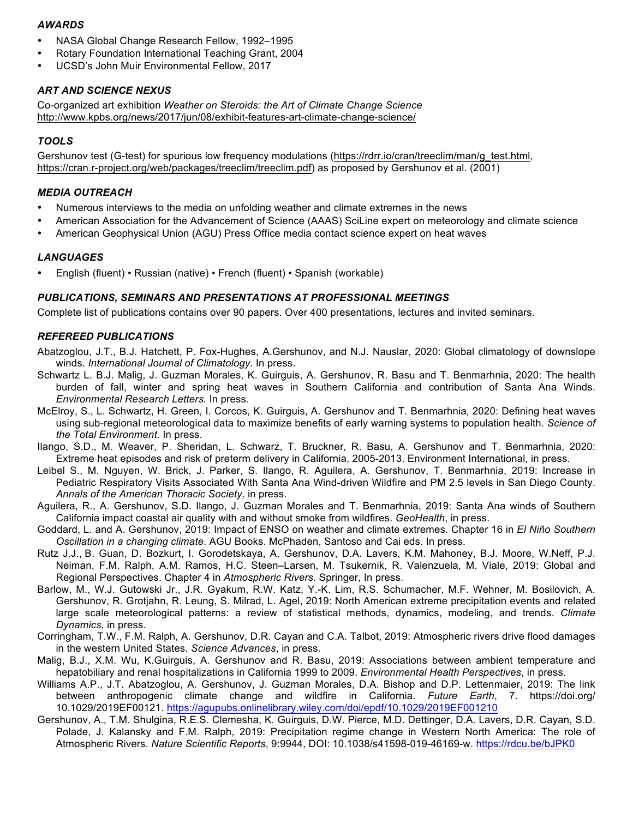## *AWARDS*

- NASA Global Change Research Fellow, 1992–1995
- Rotary Foundation International Teaching Grant, 2004
- UCSD's John Muir Environmental Fellow, 2017

# *ART AND SCIENCE NEXUS*

Co-organized art exhibition *Weather on Steroids: the Art of Climate Change Science* http://www.kpbs.org/news/2017/jun/08/exhibit-features-art-climate-change-science/

# *TOOLS*

Gershunov test (G-test) for spurious low frequency modulations (https://rdrr.io/cran/treeclim/man/g\_test.html, https://cran.r-project.org/web/packages/treeclim/treeclim.pdf) as proposed by Gershunov et al. (2001)

## *MEDIA OUTREACH*

- Numerous interviews to the media on unfolding weather and climate extremes in the news
- American Association for the Advancement of Science (AAAS) SciLine expert on meteorology and climate science
- American Geophysical Union (AGU) Press Office media contact science expert on heat waves

### *LANGUAGES*

• English (fluent) • Russian (native) • French (fluent) • Spanish (workable)

### *PUBLICATIONS, SEMINARS AND PRESENTATIONS AT PROFESSIONAL MEETINGS*

Complete list of publications contains over 90 papers. Over 400 presentations, lectures and invited seminars.

## *REFEREED PUBLICATIONS*

- Abatzoglou, J.T., B.J. Hatchett, P. Fox-Hughes, A.Gershunov, and N.J. Nauslar, 2020: Global climatology of downslope winds. *International Journal of Climatology.* In press.
- Schwartz L. B.J. Malig, J. Guzman Morales, K. Guirguis, A. Gershunov, R. Basu and T. Benmarhnia, 2020: The health burden of fall, winter and spring heat waves in Southern California and contribution of Santa Ana Winds. *Environmental Research Letters.* In press*.*
- McElroy, S., L. Schwartz, H. Green, I. Corcos, K. Guirguis, A. Gershunov and T. Benmarhnia, 2020: Defining heat waves using sub-regional meteorological data to maximize benefits of early warning systems to population health. *Science of the Total Environment*. In press.
- Ilango, S.D., M. Weaver, P. Sheridan, L. Schwarz, T. Bruckner, R. Basu, A. Gershunov and T. Benmarhnia, 2020: Extreme heat episodes and risk of preterm delivery in California, 2005-2013. Environment International, in press.
- Leibel S., M. Nguyen, W. Brick, J. Parker, S. Ilango, R. Aguilera, A. Gershunov, T. Benmarhnia, 2019: Increase in Pediatric Respiratory Visits Associated With Santa Ana Wind-driven Wildfire and PM 2.5 levels in San Diego County. *Annals of the American Thoracic Society,* in press.
- Aguilera, R., A. Gershunov, S.D. Ilango, J. Guzman Morales and T. Benmarhnia, 2019: Santa Ana winds of Southern California impact coastal air quality with and without smoke from wildfires. *GeoHealth*, in press.
- Goddard, L. and A. Gershunov, 2019: Impact of ENSO on weather and climate extremes. Chapter 16 in *El Niño Southern Oscillation in a changing climate*. AGU Books. McPhaden, Santoso and Cai eds. In press.
- Rutz J.J., B. Guan, D. Bozkurt, I. Gorodetskaya, A. Gershunov, D.A. Lavers, K.M. Mahoney, B.J. Moore, W.Neff, P.J. Neiman, F.M. Ralph, A.M. Ramos, H.C. Steen–Larsen, M. Tsukernik, R. Valenzuela, M. Viale, 2019: Global and Regional Perspectives. Chapter 4 in *Atmospheric Rivers*. Springer, In press.
- Barlow, M., W.J. Gutowski Jr., J.R. Gyakum, R.W. Katz, Y.-K. Lim, R.S. Schumacher, M.F. Wehner, M. Bosilovich, A. Gershunov, R. Grotjahn, R. Leung, S. Milrad, L. Agel, 2019: North American extreme precipitation events and related large scale meteorological patterns: a review of statistical methods, dynamics, modeling, and trends. *Climate Dynamics*, in press.
- Corringham, T.W., F.M. Ralph, A. Gershunov, D.R. Cayan and C.A. Talbot, 2019: Atmospheric rivers drive flood damages in the western United States. *Science Advances*, in press.
- Malig, B.J., X.M. Wu, K.Guirguis, A. Gershunov and R. Basu, 2019: Associations between ambient temperature and hepatobiliary and renal hospitalizations in California 1999 to 2009. *Environmental Health Perspectives*, in press.
- Williams A.P., J.T. Abatzoglou, A. Gershunov, J. Guzman Morales, D.A. Bishop and D.P. Lettenmaier, 2019: The link between anthropogenic climate change and wildfire in California. *Future Earth*, 7. https://doi.org/ 10.1029/2019EF00121. https://agupubs.onlinelibrary.wiley.com/doi/epdf/10.1029/2019EF001210
- Gershunov, A., T.M. Shulgina, R.E.S. Clemesha, K. Guirguis, D.W. Pierce, M.D. Dettinger, D.A. Lavers, D.R. Cayan, S.D. Polade, J. Kalansky and F.M. Ralph, 2019: Precipitation regime change in Western North America: The role of Atmospheric Rivers. *Nature Scientific Reports*, 9:9944, DOI: 10.1038/s41598-019-46169-w. https://rdcu.be/bJPK0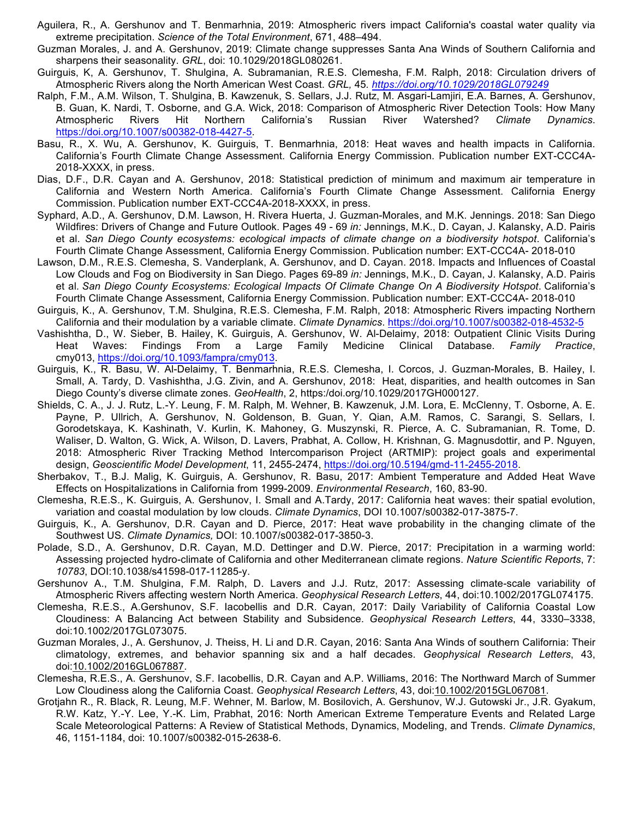- Aguilera, R., A. Gershunov and T. Benmarhnia, 2019: Atmospheric rivers impact California's coastal water quality via extreme precipitation. *Science of the Total Environment*, 671, 488–494.
- Guzman Morales, J. and A. Gershunov, 2019: Climate change suppresses Santa Ana Winds of Southern California and sharpens their seasonality. *GRL*, doi: 10.1029/2018GL080261.
- Guirguis, K, A. Gershunov, T. Shulgina, A. Subramanian, R.E.S. Clemesha, F.M. Ralph, 2018: Circulation drivers of Atmospheric Rivers along the North American West Coast. *GRL,* 45*. https://doi.org/10.1029/2018GL079249*
- Ralph, F.M., A.M. Wilson, T. Shulgina, B. Kawzenuk, S. Sellars, J.J. Rutz, M. Asgari-Lamjiri, E.A. Barnes, A. Gershunov, B. Guan, K. Nardi, T. Osborne, and G.A. Wick, 2018: Comparison of Atmospheric River Detection Tools: How Many Atmospheric Rivers Hit Northern California's Russian River Watershed? *Climate Dynamics*. https://doi.org/10.1007/s00382-018-4427-5.
- Basu, R., X. Wu, A. Gershunov, K. Guirguis, T. Benmarhnia, 2018: Heat waves and health impacts in California. California's Fourth Climate Change Assessment. California Energy Commission. Publication number EXT-CCC4A-2018-XXXX, in press.
- Dias, D.F., D.R. Cayan and A. Gershunov, 2018: Statistical prediction of minimum and maximum air temperature in California and Western North America. California's Fourth Climate Change Assessment. California Energy Commission. Publication number EXT-CCC4A-2018-XXXX, in press.
- Syphard, A.D., A. Gershunov, D.M. Lawson, H. Rivera Huerta, J. Guzman-Morales, and M.K. Jennings. 2018: San Diego Wildfires: Drivers of Change and Future Outlook. Pages 49 - 69 *in:* Jennings, M.K., D. Cayan, J. Kalansky, A.D. Pairis et al. *San Diego County ecosystems: ecological impacts of climate change on a biodiversity hotspot*. California's Fourth Climate Change Assessment, California Energy Commission. Publication number: EXT-CCC4A- 2018-010
- Lawson, D.M., R.E.S. Clemesha, S. Vanderplank, A. Gershunov, and D. Cayan. 2018. Impacts and Influences of Coastal Low Clouds and Fog on Biodiversity in San Diego. Pages 69-89 *in:* Jennings, M.K., D. Cayan, J. Kalansky, A.D. Pairis et al. *San Diego County Ecosystems: Ecological Impacts Of Climate Change On A Biodiversity Hotspot*. California's Fourth Climate Change Assessment, California Energy Commission. Publication number: EXT-CCC4A- 2018-010
- Guirguis, K., A. Gershunov, T.M. Shulgina, R.E.S. Clemesha, F.M. Ralph, 2018: Atmospheric Rivers impacting Northern California and their modulation by a variable climate. *Climate Dynamics*. https://doi.org/10.1007/s00382-018-4532-5
- Vashishtha, D., W. Sieber, B. Hailey, K. Guirguis, A. Gershunov, W. Al-Delaimy, 2018: Outpatient Clinic Visits During Heat Waves: Findings From a Large Family Medicine Clinical Database. *Family Practice*, cmy013, https://doi.org/10.1093/fampra/cmy013.
- Guirguis, K., R. Basu, W. Al-Delaimy, T. Benmarhnia, R.E.S. Clemesha, I. Corcos, J. Guzman-Morales, B. Hailey, I. Small, A. Tardy, D. Vashishtha, J.G. Zivin, and A. Gershunov, 2018: Heat, disparities, and health outcomes in San Diego County's diverse climate zones. *GeoHealth*, 2, https:/doi.org/10.1029/2017GH000127*.*
- Shields, C. A., J. J. Rutz, L.-Y. Leung, F. M. Ralph, M. Wehner, B. Kawzenuk, J.M. Lora, E. McClenny, T. Osborne, A. E. Payne, P. Ullrich, A. Gershunov, N. Goldenson, B. Guan, Y. Qian, A.M. Ramos, C. Sarangi, S. Sellars, I. Gorodetskaya, K. Kashinath, V. Kurlin, K. Mahoney, G. Muszynski, R. Pierce, A. C. Subramanian, R. Tome, D. Waliser, D. Walton, G. Wick, A. Wilson, D. Lavers, Prabhat, A. Collow, H. Krishnan, G. Magnusdottir, and P. Nguyen, 2018: Atmospheric River Tracking Method Intercomparison Project (ARTMIP): project goals and experimental design, *Geoscientific Model Development*, 11, 2455-2474, https://doi.org/10.5194/gmd-11-2455-2018.
- Sherbakov, T., B.J. Malig, K. Guirguis, A. Gershunov, R. Basu, 2017: Ambient Temperature and Added Heat Wave Effects on Hospitalizations in California from 1999-2009. *Environmental Research*, 160, 83-90.
- Clemesha, R.E.S., K. Guirguis, A. Gershunov, I. Small and A.Tardy, 2017: California heat waves: their spatial evolution, variation and coastal modulation by low clouds. *Climate Dynamics*, DOI 10.1007/s00382-017-3875-7.
- Guirguis, K., A. Gershunov, D.R. Cayan and D. Pierce, 2017: Heat wave probability in the changing climate of the Southwest US. *Climate Dynamics,* DOI: 10.1007/s00382-017-3850-3.
- Polade, S.D., A. Gershunov, D.R. Cayan, M.D. Dettinger and D.W. Pierce, 2017: Precipitation in a warming world: Assessing projected hydro-climate of California and other Mediterranean climate regions. *Nature Scientific Reports*, 7: *10783*, DOI:10.1038/s41598-017-11285-y.
- Gershunov A., T.M. Shulgina, F.M. Ralph, D. Lavers and J.J. Rutz, 2017: Assessing climate-scale variability of Atmospheric Rivers affecting western North America. *Geophysical Research Letters*, 44, doi:10.1002/2017GL074175.
- Clemesha, R.E.S., A.Gershunov, S.F. Iacobellis and D.R. Cayan, 2017: Daily Variability of California Coastal Low Cloudiness: A Balancing Act between Stability and Subsidence. *Geophysical Research Letters*, 44, 3330–3338, doi:10.1002/2017GL073075.
- Guzman Morales, J., A. Gershunov, J. Theiss, H. Li and D.R. Cayan, 2016: Santa Ana Winds of southern California: Their climatology, extremes, and behavior spanning six and a half decades. *Geophysical Research Letters*, 43, doi:10.1002/2016GL067887.
- Clemesha, R.E.S., A. Gershunov, S.F. Iacobellis, D.R. Cayan and A.P. Williams, 2016: The Northward March of Summer Low Cloudiness along the California Coast. *Geophysical Research Letters*, 43, doi:10.1002/2015GL067081.
- Grotjahn R., R. Black, R. Leung, M.F. Wehner, M. Barlow, M. Bosilovich, A. Gershunov, W.J. Gutowski Jr., J.R. Gyakum, R.W. Katz, Y.-Y. Lee, Y.-K. Lim, Prabhat, 2016: North American Extreme Temperature Events and Related Large Scale Meteorological Patterns: A Review of Statistical Methods, Dynamics, Modeling, and Trends. *Climate Dynamics*, 46, 1151-1184, doi: 10.1007/s00382-015-2638-6.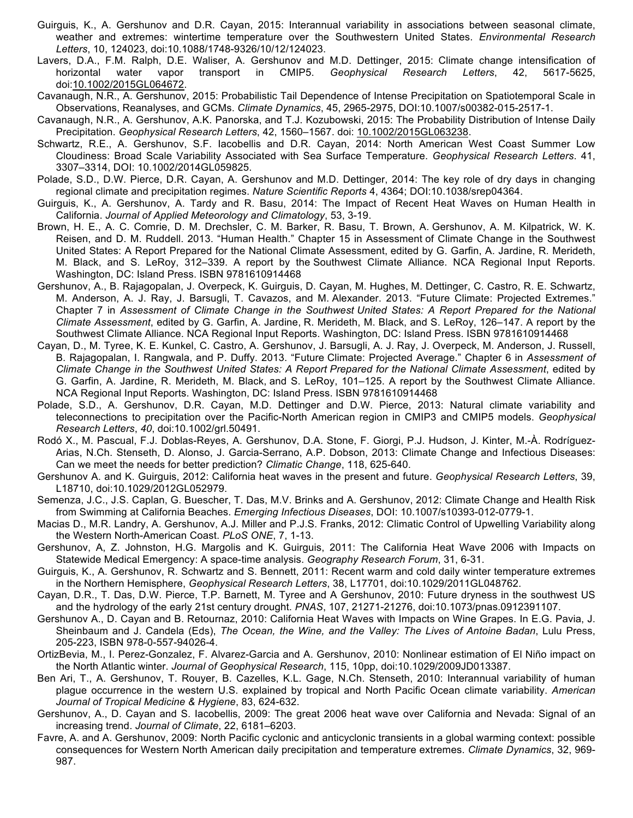- Guirguis, K., A. Gershunov and D.R. Cayan, 2015: Interannual variability in associations between seasonal climate, weather and extremes: wintertime temperature over the Southwestern United States. *Environmental Research Letters*, 10, 124023, doi:10.1088/1748-9326/10/12/124023.
- Lavers, D.A., F.M. Ralph, D.E. Waliser, A. Gershunov and M.D. Dettinger, 2015: Climate change intensification of horizontal water vapor transport in CMIP5. *Geophysical Research Letters*, 42, 5617-5625, doi:10.1002/2015GL064672.
- Cavanaugh, N.R., A. Gershunov, 2015: Probabilistic Tail Dependence of Intense Precipitation on Spatiotemporal Scale in Observations, Reanalyses, and GCMs. *Climate Dynamics*, 45, 2965-2975, DOI:10.1007/s00382-015-2517-1.
- Cavanaugh, N.R., A. Gershunov, A.K. Panorska, and T.J. Kozubowski, 2015: The Probability Distribution of Intense Daily Precipitation. *Geophysical Research Letters*, 42, 1560–1567. doi: 10.1002/2015GL063238.
- Schwartz, R.E., A. Gershunov, S.F. Iacobellis and D.R. Cayan, 2014: North American West Coast Summer Low Cloudiness: Broad Scale Variability Associated with Sea Surface Temperature. *Geophysical Research Letters*. 41, 3307–3314, DOI: 10.1002/2014GL059825.
- Polade, S.D., D.W. Pierce, D.R. Cayan, A. Gershunov and M.D. Dettinger, 2014: The key role of dry days in changing regional climate and precipitation regimes. *Nature Scientific Reports* 4, 4364; DOI:10.1038/srep04364.
- Guirguis, K., A. Gershunov, A. Tardy and R. Basu, 2014: The Impact of Recent Heat Waves on Human Health in California. *Journal of Applied Meteorology and Climatology*, 53, 3-19.
- Brown, H. E., A. C. Comrie, D. M. Drechsler, C. M. Barker, R. Basu, T. Brown, A. Gershunov, A. M. Kilpatrick, W. K. Reisen, and D. M. Ruddell. 2013. "Human Health." Chapter 15 in Assessment of Climate Change in the Southwest United States: A Report Prepared for the National Climate Assessment, edited by G. Garfin, A. Jardine, R. Merideth, M. Black, and S. LeRoy, 312–339. A report by the Southwest Climate Alliance. NCA Regional Input Reports. Washington, DC: Island Press. ISBN 9781610914468
- Gershunov, A., B. Rajagopalan, J. Overpeck, K. Guirguis, D. Cayan, M. Hughes, M. Dettinger, C. Castro, R. E. Schwartz, M. Anderson, A. J. Ray, J. Barsugli, T. Cavazos, and M. Alexander. 2013. "Future Climate: Projected Extremes." Chapter 7 in *Assessment of Climate Change in the Southwest United States: A Report Prepared for the National Climate Assessment*, edited by G. Garfin, A. Jardine, R. Merideth, M. Black, and S. LeRoy, 126–147. A report by the Southwest Climate Alliance. NCA Regional Input Reports. Washington, DC: Island Press. ISBN 9781610914468
- Cayan, D., M. Tyree, K. E. Kunkel, C. Castro, A. Gershunov, J. Barsugli, A. J. Ray, J. Overpeck, M. Anderson, J. Russell, B. Rajagopalan, I. Rangwala, and P. Duffy. 2013. "Future Climate: Projected Average." Chapter 6 in *Assessment of Climate Change in the Southwest United States: A Report Prepared for the National Climate Assessment*, edited by G. Garfin, A. Jardine, R. Merideth, M. Black, and S. LeRoy, 101–125. A report by the Southwest Climate Alliance. NCA Regional Input Reports. Washington, DC: Island Press. ISBN 9781610914468
- Polade, S.D., A. Gershunov, D.R. Cayan, M.D. Dettinger and D.W. Pierce, 2013: Natural climate variability and teleconnections to precipitation over the Pacific-North American region in CMIP3 and CMIP5 models. *Geophysical Research Letters*, *40*, doi:10.1002/grl.50491.
- Rodó X., M. Pascual, F.J. Doblas-Reyes, A. Gershunov, D.A. Stone, F. Giorgi, P.J. Hudson, J. Kinter, M.-À. Rodríguez-Arias, N.Ch. Stenseth, D. Alonso, J. Garcia-Serrano, A.P. Dobson, 2013: Climate Change and Infectious Diseases: Can we meet the needs for better prediction? *Climatic Change*, 118, 625-640.
- Gershunov A. and K. Guirguis, 2012: California heat waves in the present and future. *Geophysical Research Letters*, 39, L18710, doi:10.1029/2012GL052979.
- Semenza, J.C., J.S. Caplan, G. Buescher, T. Das, M.V. Brinks and A. Gershunov, 2012: Climate Change and Health Risk from Swimming at California Beaches. *Emerging Infectious Diseases*, DOI: 10.1007/s10393-012-0779-1.
- Macias D., M.R. Landry, A. Gershunov, A.J. Miller and P.J.S. Franks, 2012: Climatic Control of Upwelling Variability along the Western North-American Coast. *PLoS ONE*, 7, 1-13.
- Gershunov, A, Z. Johnston, H.G. Margolis and K. Guirguis, 2011: The California Heat Wave 2006 with Impacts on Statewide Medical Emergency: A space-time analysis. *Geography Research Forum*, 31, 6-31.
- Guirguis, K., A. Gershunov, R. Schwartz and S. Bennett, 2011: Recent warm and cold daily winter temperature extremes in the Northern Hemisphere, *Geophysical Research Letters*, 38, L17701, doi:10.1029/2011GL048762.
- Cayan, D.R., T. Das, D.W. Pierce, T.P. Barnett, M. Tyree and A Gershunov, 2010: Future dryness in the southwest US and the hydrology of the early 21st century drought. *PNAS*, 107, 21271-21276, doi:10.1073/pnas.0912391107.
- Gershunov A., D. Cayan and B. Retournaz, 2010: California Heat Waves with Impacts on Wine Grapes. In E.G. Pavia, J. Sheinbaum and J. Candela (Eds), *The Ocean, the Wine, and the Valley: The Lives of Antoine Badan*, Lulu Press, 205-223, ISBN 978-0-557-94026-4.
- OrtizBevia, M., I. Perez-Gonzalez, F. Alvarez-Garcia and A. Gershunov, 2010: Nonlinear estimation of El Niño impact on the North Atlantic winter. *Journal of Geophysical Research*, 115, 10pp, doi:10.1029/2009JD013387.
- Ben Ari, T., A. Gershunov, T. Rouyer, B. Cazelles, K.L. Gage, N.Ch. Stenseth, 2010: Interannual variability of human plague occurrence in the western U.S. explained by tropical and North Pacific Ocean climate variability. *American Journal of Tropical Medicine & Hygiene*, 83, 624-632.
- Gershunov, A., D. Cayan and S. Iacobellis, 2009: The great 2006 heat wave over California and Nevada: Signal of an increasing trend. *Journal of Climate*, 22, 6181–6203.
- Favre, A. and A. Gershunov, 2009: North Pacific cyclonic and anticyclonic transients in a global warming context: possible consequences for Western North American daily precipitation and temperature extremes. *Climate Dynamics*, 32, 969- 987.